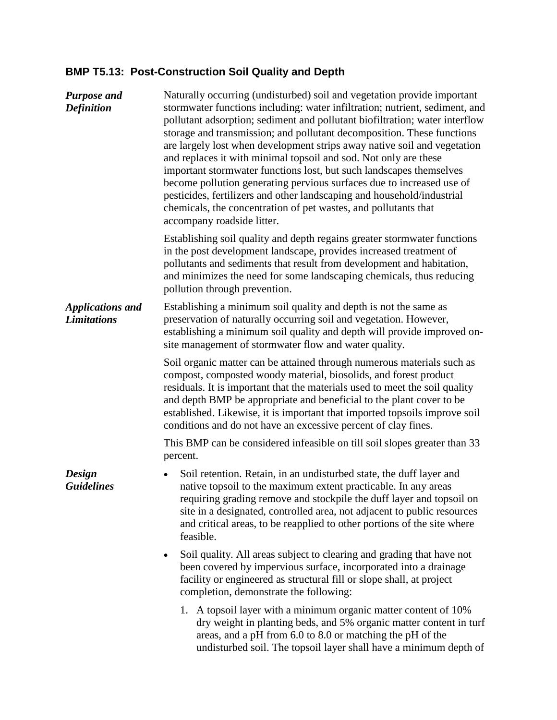## **BMP T5.13: Post-Construction Soil Quality and Depth**

| <b>Purpose and</b><br><b>Definition</b>       | Naturally occurring (undisturbed) soil and vegetation provide important<br>stormwater functions including: water infiltration; nutrient, sediment, and<br>pollutant adsorption; sediment and pollutant biofiltration; water interflow<br>storage and transmission; and pollutant decomposition. These functions<br>are largely lost when development strips away native soil and vegetation<br>and replaces it with minimal topsoil and sod. Not only are these<br>important stormwater functions lost, but such landscapes themselves<br>become pollution generating pervious surfaces due to increased use of<br>pesticides, fertilizers and other landscaping and household/industrial<br>chemicals, the concentration of pet wastes, and pollutants that<br>accompany roadside litter. |
|-----------------------------------------------|--------------------------------------------------------------------------------------------------------------------------------------------------------------------------------------------------------------------------------------------------------------------------------------------------------------------------------------------------------------------------------------------------------------------------------------------------------------------------------------------------------------------------------------------------------------------------------------------------------------------------------------------------------------------------------------------------------------------------------------------------------------------------------------------|
|                                               | Establishing soil quality and depth regains greater stormwater functions<br>in the post development landscape, provides increased treatment of<br>pollutants and sediments that result from development and habitation,<br>and minimizes the need for some landscaping chemicals, thus reducing<br>pollution through prevention.                                                                                                                                                                                                                                                                                                                                                                                                                                                           |
| <b>Applications and</b><br><b>Limitations</b> | Establishing a minimum soil quality and depth is not the same as<br>preservation of naturally occurring soil and vegetation. However,<br>establishing a minimum soil quality and depth will provide improved on-<br>site management of stormwater flow and water quality.                                                                                                                                                                                                                                                                                                                                                                                                                                                                                                                  |
|                                               | Soil organic matter can be attained through numerous materials such as<br>compost, composted woody material, biosolids, and forest product<br>residuals. It is important that the materials used to meet the soil quality<br>and depth BMP be appropriate and beneficial to the plant cover to be<br>established. Likewise, it is important that imported topsoils improve soil<br>conditions and do not have an excessive percent of clay fines.                                                                                                                                                                                                                                                                                                                                          |
|                                               | This BMP can be considered infeasible on till soil slopes greater than 33<br>percent.                                                                                                                                                                                                                                                                                                                                                                                                                                                                                                                                                                                                                                                                                                      |
| Design<br><b>Guidelines</b>                   | Soil retention. Retain, in an undisturbed state, the duff layer and<br>$\bullet$<br>native topsoil to the maximum extent practicable. In any areas<br>requiring grading remove and stockpile the duff layer and topsoil on<br>site in a designated, controlled area, not adjacent to public resources<br>and critical areas, to be reapplied to other portions of the site where<br>feasible.                                                                                                                                                                                                                                                                                                                                                                                              |
|                                               | Soil quality. All areas subject to clearing and grading that have not<br>$\bullet$<br>been covered by impervious surface, incorporated into a drainage<br>facility or engineered as structural fill or slope shall, at project<br>completion, demonstrate the following:                                                                                                                                                                                                                                                                                                                                                                                                                                                                                                                   |
|                                               | 1. A topsoil layer with a minimum organic matter content of 10%<br>dry weight in planting beds, and 5% organic matter content in turf<br>areas, and a pH from 6.0 to 8.0 or matching the pH of the<br>undisturbed soil. The topsoil layer shall have a minimum depth of                                                                                                                                                                                                                                                                                                                                                                                                                                                                                                                    |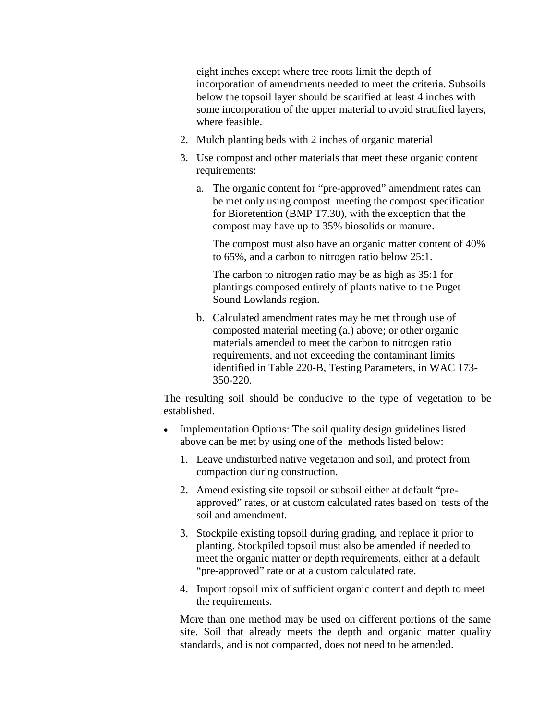eight inches except where tree roots limit the depth of incorporation of amendments needed to meet the criteria. Subsoils below the topsoil layer should be scarified at least 4 inches with some incorporation of the upper material to avoid stratified layers, where feasible.

- 2. Mulch planting beds with 2 inches of organic material
- 3. Use compost and other materials that meet these organic content requirements:
	- a. The organic content for "pre-approved" amendment rates can be met only using compost meeting the compost specification for Bioretention (BMP T7.30), with the exception that the compost may have up to 35% biosolids or manure.

The compost must also have an organic matter content of 40% to 65%, and a carbon to nitrogen ratio below 25:1.

The carbon to nitrogen ratio may be as high as 35:1 for plantings composed entirely of plants native to the Puget Sound Lowlands region.

b. Calculated amendment rates may be met through use of composted material meeting (a.) above; or other organic materials amended to meet the carbon to nitrogen ratio requirements, and not exceeding the contaminant limits identified in Table 220-B, Testing Parameters, in WAC 173- 350-220.

The resulting soil should be conducive to the type of vegetation to be established.

- Implementation Options: The soil quality design guidelines listed above can be met by using one of the methods listed below:
	- 1. Leave undisturbed native vegetation and soil, and protect from compaction during construction.
	- 2. Amend existing site topsoil or subsoil either at default "preapproved" rates, or at custom calculated rates based on tests of the soil and amendment.
	- 3. Stockpile existing topsoil during grading, and replace it prior to planting. Stockpiled topsoil must also be amended if needed to meet the organic matter or depth requirements, either at a default "pre-approved" rate or at a custom calculated rate.
	- 4. Import topsoil mix of sufficient organic content and depth to meet the requirements.

More than one method may be used on different portions of the same site. Soil that already meets the depth and organic matter quality standards, and is not compacted, does not need to be amended.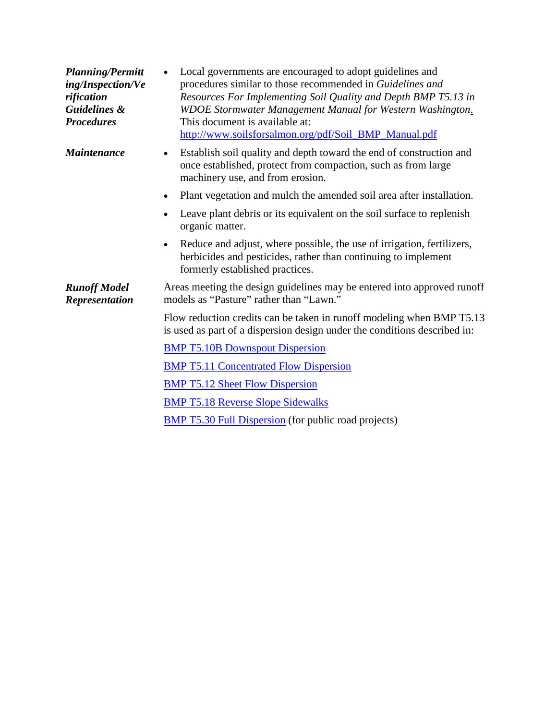| <b>Planning/Permitt</b><br>ing/Inspection/Ve<br>rification<br><b>Guidelines &amp;</b><br><b>Procedures</b> | Local governments are encouraged to adopt guidelines and<br>procedures similar to those recommended in Guidelines and<br>Resources For Implementing Soil Quality and Depth BMP T5.13 in<br>WDOE Stormwater Management Manual for Western Washington.<br>This document is available at:<br>http://www.soilsforsalmon.org/pdf/Soil_BMP_Manual.pdf |
|------------------------------------------------------------------------------------------------------------|-------------------------------------------------------------------------------------------------------------------------------------------------------------------------------------------------------------------------------------------------------------------------------------------------------------------------------------------------|
| <b>Maintenance</b>                                                                                         | Establish soil quality and depth toward the end of construction and<br>$\bullet$<br>once established, protect from compaction, such as from large<br>machinery use, and from erosion.                                                                                                                                                           |
|                                                                                                            | Plant vegetation and mulch the amended soil area after installation.<br>$\bullet$                                                                                                                                                                                                                                                               |
|                                                                                                            | Leave plant debris or its equivalent on the soil surface to replenish<br>$\bullet$<br>organic matter.                                                                                                                                                                                                                                           |
|                                                                                                            | Reduce and adjust, where possible, the use of irrigation, fertilizers,<br>$\bullet$<br>herbicides and pesticides, rather than continuing to implement<br>formerly established practices.                                                                                                                                                        |
| <b>Runoff Model</b><br><b>Representation</b>                                                               | Areas meeting the design guidelines may be entered into approved runoff<br>models as "Pasture" rather than "Lawn."                                                                                                                                                                                                                              |
|                                                                                                            | Flow reduction credits can be taken in runoff modeling when BMP T5.13<br>is used as part of a dispersion design under the conditions described in:                                                                                                                                                                                              |
|                                                                                                            | <b>BMP T5.10B Downspout Dispersion</b>                                                                                                                                                                                                                                                                                                          |
|                                                                                                            | <b>BMP T5.11 Concentrated Flow Dispersion</b>                                                                                                                                                                                                                                                                                                   |
|                                                                                                            | <b>BMP T5.12 Sheet Flow Dispersion</b>                                                                                                                                                                                                                                                                                                          |
|                                                                                                            | <b>BMP T5.18 Reverse Slope Sidewalks</b>                                                                                                                                                                                                                                                                                                        |
|                                                                                                            | <b>BMP T5.30 Full Dispersion</b> (for public road projects)                                                                                                                                                                                                                                                                                     |